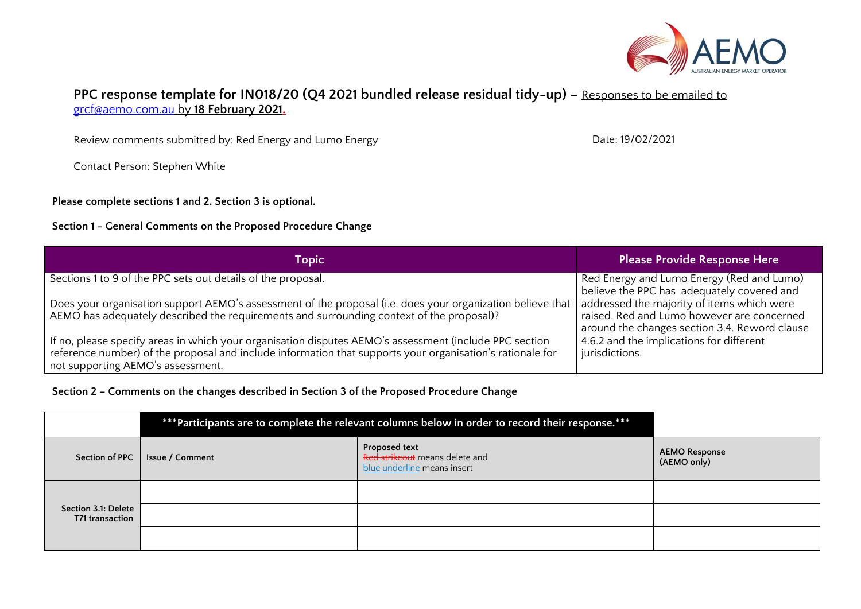

## **PPC response template for IN018/20 (Q4 2021 bundled release residual tidy-up) –** Responses to be emailed to [grcf@aemo.com.au](mailto:grcf@aemo.com.au) by **18 February 2021.**

Review comments submitted by: Red Energy and Lumo Energy

Contact Person: Stephen White

**Please complete sections 1 and 2. Section 3 is optional.**

## **Section 1 - General Comments on the Proposed Procedure Change**

| Topic                                                                                                                                                                                                                                                    | <b>Please Provide Response Here</b>                                                                                                       |
|----------------------------------------------------------------------------------------------------------------------------------------------------------------------------------------------------------------------------------------------------------|-------------------------------------------------------------------------------------------------------------------------------------------|
| Sections 1 to 9 of the PPC sets out details of the proposal.                                                                                                                                                                                             | Red Energy and Lumo Energy (Red and Lumo)<br>believe the PPC has adequately covered and                                                   |
| Does your organisation support AEMO's assessment of the proposal (i.e. does your organization believe that<br>AEMO has adequately described the requirements and surrounding context of the proposal)?                                                   | addressed the majority of items which were<br>raised. Red and Lumo however are concerned<br>around the changes section 3.4. Reword clause |
| If no, please specify areas in which your organisation disputes AEMO's assessment (include PPC section<br>reference number) of the proposal and include information that supports your organisation's rationale for<br>not supporting AEMO's assessment. | 4.6.2 and the implications for different<br>jurisdictions.                                                                                |

**Section 2 – Comments on the changes described in Section 3 of the Proposed Procedure Change**

| *** Participants are to complete the relevant columns below in order to record their response. *** |                        |                                                                                |                                     |
|----------------------------------------------------------------------------------------------------|------------------------|--------------------------------------------------------------------------------|-------------------------------------|
| Section of PPC                                                                                     | <b>Issue / Comment</b> | Proposed text<br>Red strikeout means delete and<br>blue underline means insert | <b>AEMO Response</b><br>(AEMO only) |
|                                                                                                    |                        |                                                                                |                                     |
| Section 3.1: Delete<br>T71 transaction                                                             |                        |                                                                                |                                     |
|                                                                                                    |                        |                                                                                |                                     |

Date: 19/02/2021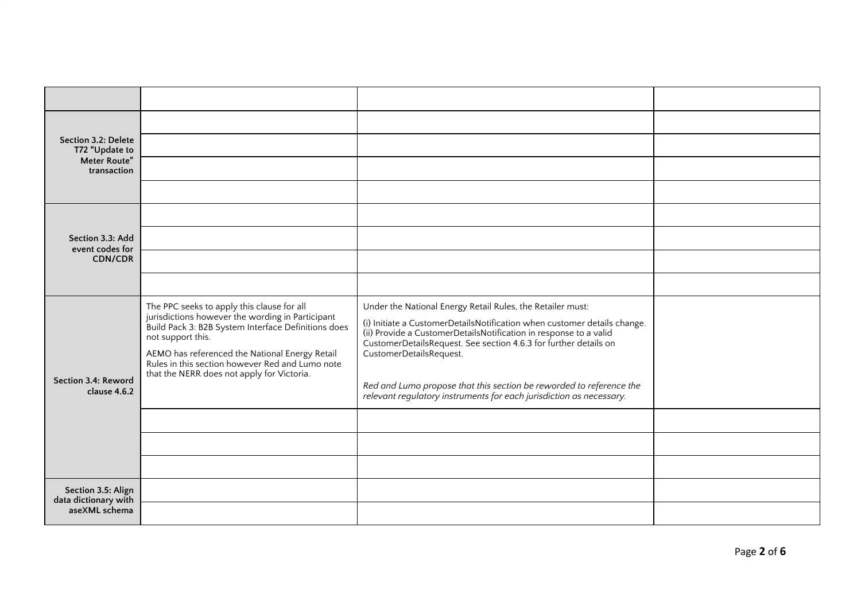| Section 3.2: Delete<br>T72 "Update to                       |                                                                                                                                                                                                                                                                                                                               |                                                                                                                                                                                                                                                                                                                                                                                                                                                          |  |
|-------------------------------------------------------------|-------------------------------------------------------------------------------------------------------------------------------------------------------------------------------------------------------------------------------------------------------------------------------------------------------------------------------|----------------------------------------------------------------------------------------------------------------------------------------------------------------------------------------------------------------------------------------------------------------------------------------------------------------------------------------------------------------------------------------------------------------------------------------------------------|--|
| Meter Route"<br>transaction                                 |                                                                                                                                                                                                                                                                                                                               |                                                                                                                                                                                                                                                                                                                                                                                                                                                          |  |
|                                                             |                                                                                                                                                                                                                                                                                                                               |                                                                                                                                                                                                                                                                                                                                                                                                                                                          |  |
|                                                             |                                                                                                                                                                                                                                                                                                                               |                                                                                                                                                                                                                                                                                                                                                                                                                                                          |  |
| Section 3.3: Add<br>event codes for                         |                                                                                                                                                                                                                                                                                                                               |                                                                                                                                                                                                                                                                                                                                                                                                                                                          |  |
| <b>CDN/CDR</b>                                              |                                                                                                                                                                                                                                                                                                                               |                                                                                                                                                                                                                                                                                                                                                                                                                                                          |  |
|                                                             |                                                                                                                                                                                                                                                                                                                               |                                                                                                                                                                                                                                                                                                                                                                                                                                                          |  |
| Section 3.4: Reword<br>clause 4.6.2                         | The PPC seeks to apply this clause for all<br>jurisdictions however the wording in Participant<br>Build Pack 3: B2B System Interface Definitions does<br>not support this.<br>AEMO has referenced the National Energy Retail<br>Rules in this section however Red and Lumo note<br>that the NERR does not apply for Victoria. | Under the National Energy Retail Rules, the Retailer must:<br>(i) Initiate a CustomerDetailsNotification when customer details change.<br>(ii) Provide a CustomerDetailsNotification in response to a valid<br>CustomerDetailsRequest. See section 4.6.3 for further details on<br>CustomerDetailsRequest.<br>Red and Lumo propose that this section be reworded to reference the<br>relevant regulatory instruments for each jurisdiction as necessary. |  |
|                                                             |                                                                                                                                                                                                                                                                                                                               |                                                                                                                                                                                                                                                                                                                                                                                                                                                          |  |
|                                                             |                                                                                                                                                                                                                                                                                                                               |                                                                                                                                                                                                                                                                                                                                                                                                                                                          |  |
|                                                             |                                                                                                                                                                                                                                                                                                                               |                                                                                                                                                                                                                                                                                                                                                                                                                                                          |  |
| Section 3.5: Align<br>data dictionary with<br>aseXML schema |                                                                                                                                                                                                                                                                                                                               |                                                                                                                                                                                                                                                                                                                                                                                                                                                          |  |
|                                                             |                                                                                                                                                                                                                                                                                                                               |                                                                                                                                                                                                                                                                                                                                                                                                                                                          |  |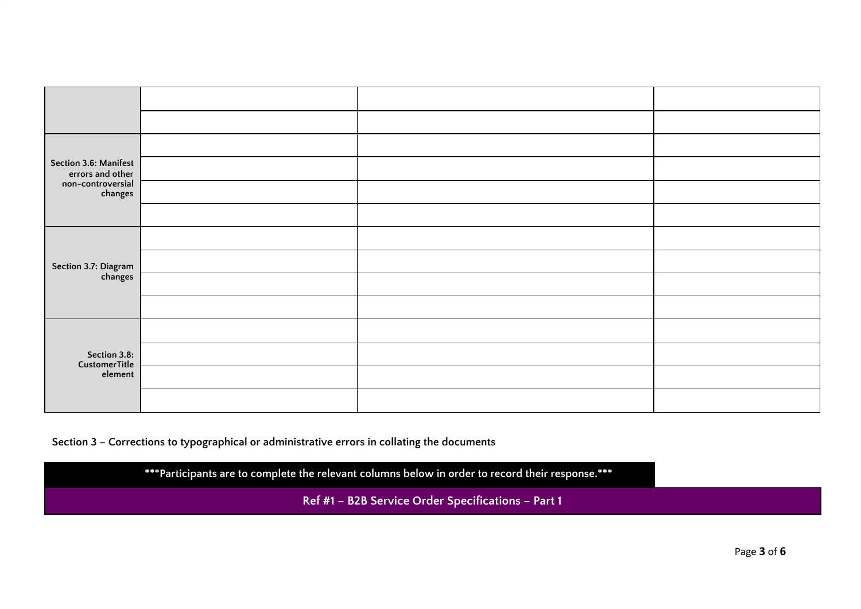| Section 3.6: Manifest<br>errors and other |  |  |
|-------------------------------------------|--|--|
| non-controversial<br>changes              |  |  |
|                                           |  |  |
| Section 3.7: Diagram<br>changes           |  |  |
|                                           |  |  |
|                                           |  |  |
|                                           |  |  |
| Section 3.8:<br>CustomerTitle<br>element  |  |  |
|                                           |  |  |
|                                           |  |  |
|                                           |  |  |

**Section 3 – Corrections to typographical or administrative errors in collating the documents**

**\*\*\*Participants are to complete the relevant columns below in order to record their response.\*\*\***

**Ref #1 – B2B Service Order Specifications – Part 1**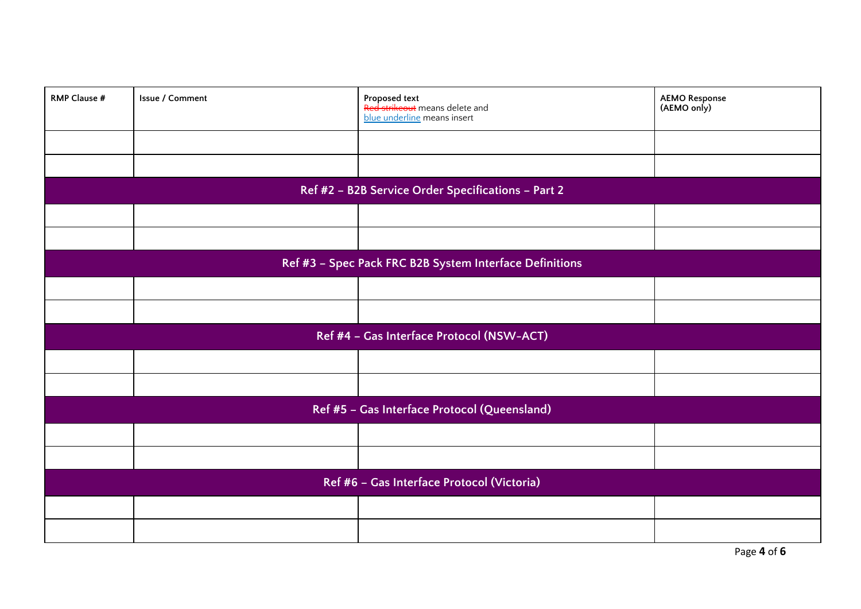| <b>RMP Clause #</b>                                     | Issue / Comment | <b>Proposed text</b><br>Red strikeout means delete and<br>blue underline means insert | <b>AEMO Response</b><br>(AEMO only) |
|---------------------------------------------------------|-----------------|---------------------------------------------------------------------------------------|-------------------------------------|
|                                                         |                 |                                                                                       |                                     |
|                                                         |                 |                                                                                       |                                     |
|                                                         |                 | Ref #2 - B2B Service Order Specifications - Part 2                                    |                                     |
|                                                         |                 |                                                                                       |                                     |
|                                                         |                 |                                                                                       |                                     |
| Ref #3 - Spec Pack FRC B2B System Interface Definitions |                 |                                                                                       |                                     |
|                                                         |                 |                                                                                       |                                     |
|                                                         |                 |                                                                                       |                                     |
| Ref #4 - Gas Interface Protocol (NSW-ACT)               |                 |                                                                                       |                                     |
|                                                         |                 |                                                                                       |                                     |
|                                                         |                 |                                                                                       |                                     |
| Ref #5 - Gas Interface Protocol (Queensland)            |                 |                                                                                       |                                     |
|                                                         |                 |                                                                                       |                                     |
|                                                         |                 |                                                                                       |                                     |
| Ref #6 - Gas Interface Protocol (Victoria)              |                 |                                                                                       |                                     |
|                                                         |                 |                                                                                       |                                     |
|                                                         |                 |                                                                                       |                                     |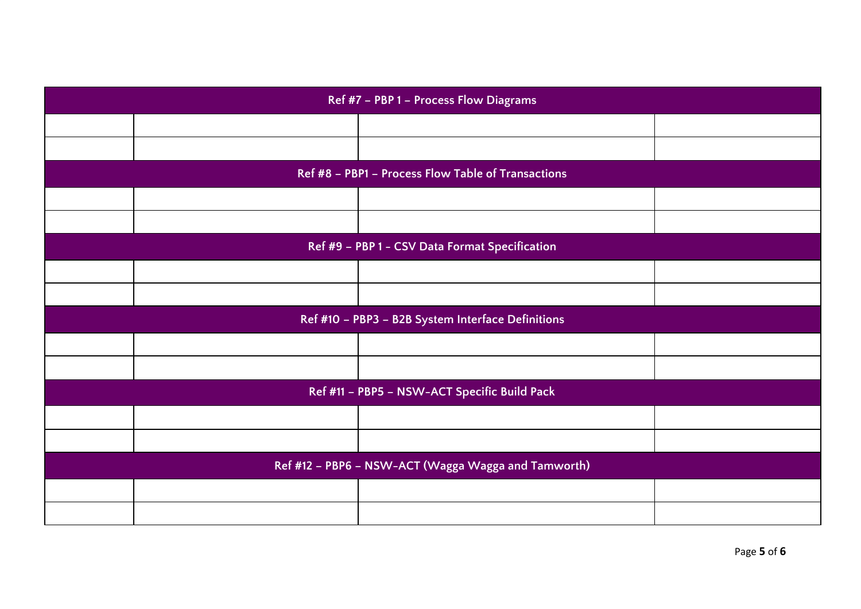| Ref #7 - PBP 1 - Process Flow Diagrams              |                                                |                                                    |  |
|-----------------------------------------------------|------------------------------------------------|----------------------------------------------------|--|
|                                                     |                                                |                                                    |  |
|                                                     |                                                |                                                    |  |
|                                                     |                                                | Ref #8 - PBP1 - Process Flow Table of Transactions |  |
|                                                     |                                                |                                                    |  |
|                                                     |                                                |                                                    |  |
|                                                     | Ref #9 - PBP 1 - CSV Data Format Specification |                                                    |  |
|                                                     |                                                |                                                    |  |
|                                                     |                                                |                                                    |  |
| Ref #10 - PBP3 - B2B System Interface Definitions   |                                                |                                                    |  |
|                                                     |                                                |                                                    |  |
|                                                     |                                                |                                                    |  |
| Ref #11 - PBP5 - NSW-ACT Specific Build Pack        |                                                |                                                    |  |
|                                                     |                                                |                                                    |  |
|                                                     |                                                |                                                    |  |
| Ref #12 - PBP6 - NSW-ACT (Wagga Wagga and Tamworth) |                                                |                                                    |  |
|                                                     |                                                |                                                    |  |
|                                                     |                                                |                                                    |  |